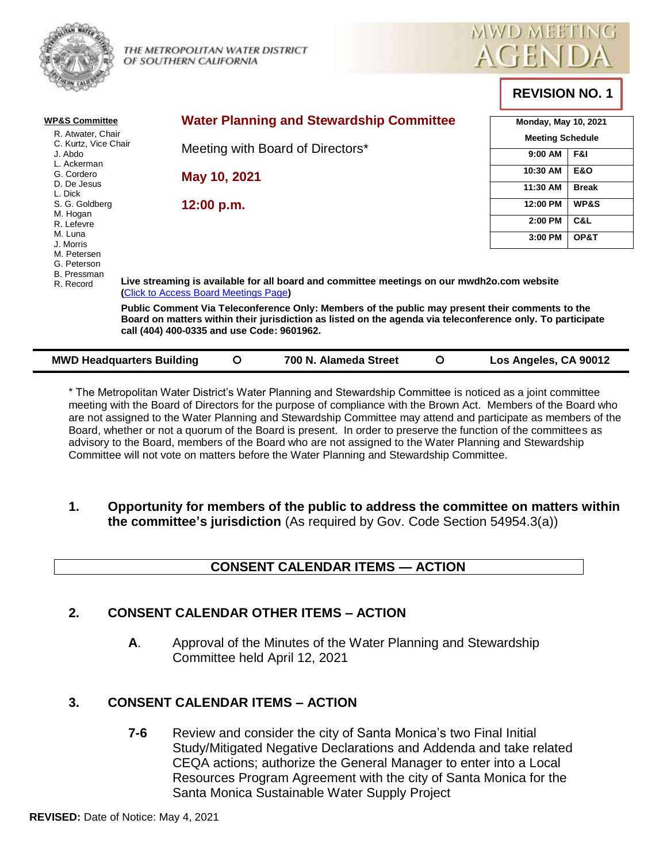



**REVISION NO. 1** 

| <b>WP&amp;S Committee</b><br>R. Atwater, Chair                |                                                                                                                                                                                                                                                             | <b>Water Planning and Stewardship Committee</b><br>Meeting with Board of Directors* |                       |          | <b>Monday, May 10, 2021</b><br><b>Meeting Schedule</b> |                 |
|---------------------------------------------------------------|-------------------------------------------------------------------------------------------------------------------------------------------------------------------------------------------------------------------------------------------------------------|-------------------------------------------------------------------------------------|-----------------------|----------|--------------------------------------------------------|-----------------|
| C. Kurtz, Vice Chair<br>J. Abdo<br>L. Ackerman                |                                                                                                                                                                                                                                                             |                                                                                     |                       |          | 9:00 AM                                                | F&I             |
| G. Cordero                                                    |                                                                                                                                                                                                                                                             | May 10, 2021                                                                        |                       | 10:30 AM | <b>E&amp;O</b>                                         |                 |
| D. De Jesus<br>L. Dick                                        |                                                                                                                                                                                                                                                             |                                                                                     |                       |          | 11:30 AM                                               | <b>Break</b>    |
| S. G. Goldberg                                                | 12:00 p.m.                                                                                                                                                                                                                                                  |                                                                                     |                       |          | 12:00 PM                                               | <b>WP&amp;S</b> |
| M. Hogan<br>R. Lefevre                                        |                                                                                                                                                                                                                                                             |                                                                                     |                       |          | 2:00 PM                                                | C&L             |
| M. Luna<br>J. Morris                                          |                                                                                                                                                                                                                                                             |                                                                                     |                       |          | 3:00 PM                                                | OP&T            |
| M. Petersen<br>G. Peterson<br><b>B.</b> Pressman<br>R. Record | Live streaming is available for all board and committee meetings on our mwdh2o.com website<br>(Click to Access Board Meetings Page)                                                                                                                         |                                                                                     |                       |          |                                                        |                 |
|                                                               | Public Comment Via Teleconference Only: Members of the public may present their comments to the<br>Board on matters within their jurisdiction as listed on the agenda via teleconference only. To participate<br>call (404) 400-0335 and use Code: 9601962. |                                                                                     |                       |          |                                                        |                 |
| <b>MWD Headquarters Building</b>                              |                                                                                                                                                                                                                                                             | O                                                                                   | 700 N. Alameda Street | O        | Los Angeles, CA 90012                                  |                 |

\* The Metropolitan Water District's Water Planning and Stewardship Committee is noticed as a joint committee meeting with the Board of Directors for the purpose of compliance with the Brown Act. Members of the Board who are not assigned to the Water Planning and Stewardship Committee may attend and participate as members of the Board, whether or not a quorum of the Board is present. In order to preserve the function of the committees as advisory to the Board, members of the Board who are not assigned to the Water Planning and Stewardship Committee will not vote on matters before the Water Planning and Stewardship Committee.

**1. Opportunity for members of the public to address the committee on matters within the committee's jurisdiction** (As required by Gov. Code Section 54954.3(a))

# **CONSENT CALENDAR ITEMS — ACTION**

### **2. CONSENT CALENDAR OTHER ITEMS – ACTION**

**A**. Approval of the Minutes of the Water Planning and Stewardship Committee held April 12, 2021

### **3. CONSENT CALENDAR ITEMS – ACTION**

**7-6** Review and consider the city of Santa Monica's two Final Initial Study/Mitigated Negative Declarations and Addenda and take related CEQA actions; authorize the General Manager to enter into a Local Resources Program Agreement with the city of Santa Monica for the Santa Monica Sustainable Water Supply Project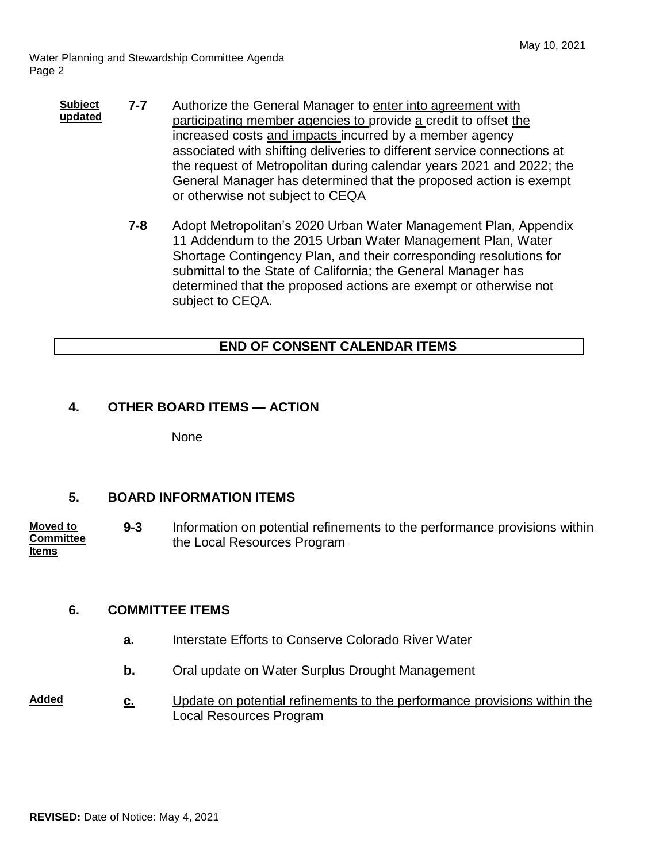Water Planning and Stewardship Committee Agenda Page 2

- **Subject updated 7-7** Authorize the General Manager to enter into agreement with participating member agencies to provide a credit to offset the increased costs and impacts incurred by a member agency associated with shifting deliveries to different service connections at the request of Metropolitan during calendar years 2021 and 2022; the General Manager has determined that the proposed action is exempt or otherwise not subject to CEQA
	- **7-8** Adopt Metropolitan's 2020 Urban Water Management Plan, Appendix 11 Addendum to the 2015 Urban Water Management Plan, Water Shortage Contingency Plan, and their corresponding resolutions for submittal to the State of California; the General Manager has determined that the proposed actions are exempt or otherwise not subject to CEQA.

# **END OF CONSENT CALENDAR ITEMS**

## **4. OTHER BOARD ITEMS — ACTION**

None

### **5. BOARD INFORMATION ITEMS**

**Moved to Committee Items 9-3** Information on potential refinements to the performance provisions within the Local Resources Program

### **6. COMMITTEE ITEMS**

- **a.** Interstate Efforts to Conserve Colorado River Water
- **b.** Oral update on Water Surplus Drought Management

#### **Added c.** Update on potential refinements to the performance provisions within the Local Resources Program